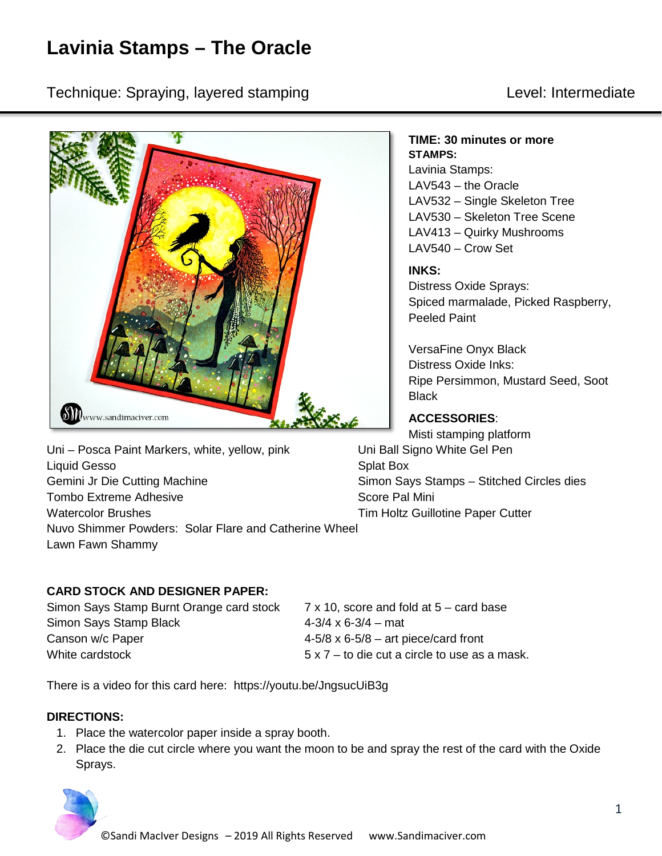# **Lavinia Stamps – The Oracle**

Technique: Spraying, layered stamping Level: Intermediate



Uni – Posca Paint Markers, white, yellow, pink Uni Ball Signo White Gel Pen Liquid Gesso Splat Box Gemini Jr Die Cutting Machine Stamps – Simon Says Stamps – Stitched Circles dies Tombo Extreme Adhesive Score Pal Mini Watercolor Brushes **Tim Holtz Guillotine Paper Cutter** Nuvo Shimmer Powders: Solar Flare and Catherine Wheel Lawn Fawn Shammy

## **CARD STOCK AND DESIGNER PAPER:**

Simon Says Stamp Burnt Orange card stock 7 x 10, score and fold at 5 – card base Simon Says Stamp Black 4-3/4 x 6-3/4 – mat Canson w/c Paper  $4-5/8 \times 6-5/8 -$  art piece/card front White cardstock  $5 \times 7 -$  to die cut a circle to use as a mask.

There is a video for this card here: https://youtu.be/JngsucUiB3g

## **DIRECTIONS:**

- 1. Place the watercolor paper inside a spray booth.
- 2. Place the die cut circle where you want the moon to be and spray the rest of the card with the Oxide Sprays.



#### **TIME: 30 minutes or more STAMPS:**

Lavinia Stamps: LAV543 – the Oracle LAV532 – Single Skeleton Tree LAV530 – Skeleton Tree Scene LAV413 – Quirky Mushrooms LAV540 – Crow Set

## **INKS:**

Distress Oxide Sprays: Spiced marmalade, Picked Raspberry, Peeled Paint

VersaFine Onyx Black Distress Oxide Inks: Ripe Persimmon, Mustard Seed, Soot **Black** 

# **ACCESSORIES**:

Misti stamping platform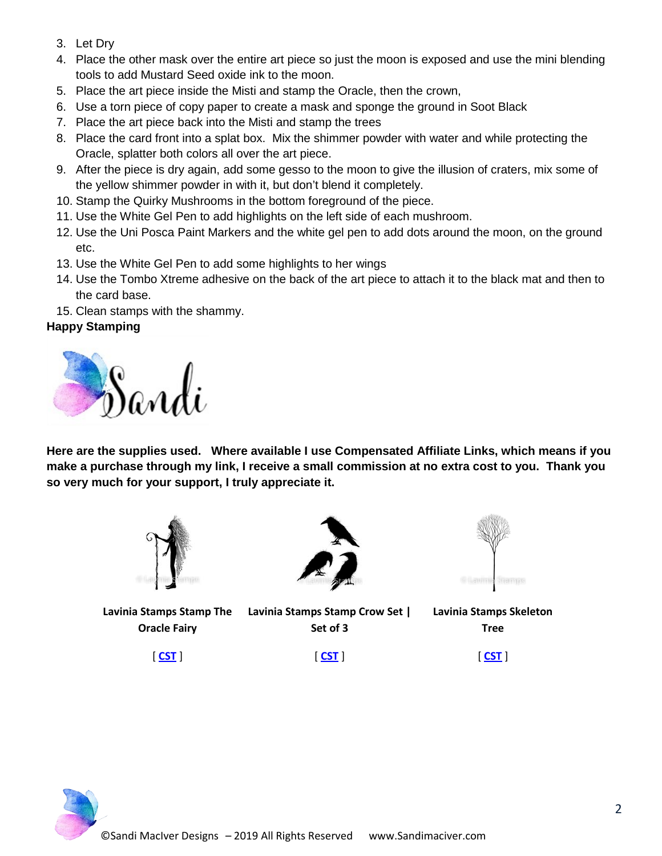- 3. Let Dry
- 4. Place the other mask over the entire art piece so just the moon is exposed and use the mini blending tools to add Mustard Seed oxide ink to the moon.
- 5. Place the art piece inside the Misti and stamp the Oracle, then the crown,
- 6. Use a torn piece of copy paper to create a mask and sponge the ground in Soot Black
- 7. Place the art piece back into the Misti and stamp the trees
- 8. Place the card front into a splat box. Mix the shimmer powder with water and while protecting the Oracle, splatter both colors all over the art piece.
- 9. After the piece is dry again, add some gesso to the moon to give the illusion of craters, mix some of the yellow shimmer powder in with it, but don't blend it completely.
- 10. Stamp the Quirky Mushrooms in the bottom foreground of the piece.
- 11. Use the White Gel Pen to add highlights on the left side of each mushroom.
- 12. Use the Uni Posca Paint Markers and the white gel pen to add dots around the moon, on the ground etc.
- 13. Use the White Gel Pen to add some highlights to her wings
- 14. Use the Tombo Xtreme adhesive on the back of the art piece to attach it to the black mat and then to the card base.
- 15. Clean stamps with the shammy.

## **Happy Stamping**



**Here are the supplies used. Where available I use Compensated Affiliate Links, which means if you make a purchase through my link, I receive a small commission at no extra cost to you. Thank you so very much for your support, I truly appreciate it.**



**Lavinia Stamps Stamp The Oracle Fairy**



**Set of 3**

[ **[CST](https://ldli.co/e/ndx164)** ]



**Lavinia Stamps Stamp Crow Set | Lavinia Stamps Skeleton Tree**

[ **[CST](https://ldli.co/e/6xe636)** ]

[ **[CST](https://ldli.co/e/71ygj7)** ]

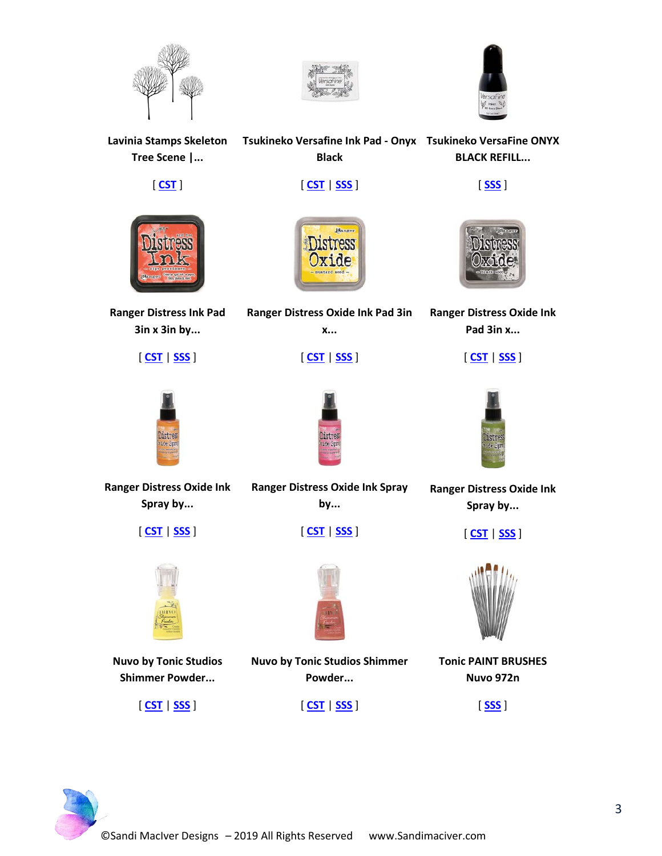





**Lavinia Stamps Skeleton Tsukineko Versafine Ink Pad - Onyx Tsukineko VersaFine ONYX Tree Scene |...** [ **[CST](https://ldli.co/e/g56mo4)** ] **Black** [ **[CST](https://ldli.co/e/0e5drz)** | **[SSS](https://ldli.co/e/4me72k)** ] **BLACK REFILL...** [ **[SSS](https://ldli.co/e/2me9z6)** ]



**Ranger Distress Ink Pad 3in x 3in by...**

[ **[CST](https://ldli.co/e/5len2m)** | **[SSS](https://ldli.co/e/3meky3)** ]



**Ranger Distress Oxide Ink Pad 3in x...**

[ **[CST](https://ldli.co/e/m1lxne)** | **[SSS](https://ldli.co/e/ep75ll)** ]



**Ranger Distress Oxide Ink Pad 3in x...**

[ **[CST](https://ldli.co/e/qkz90d)** | **[SSS](https://ldli.co/e/jm4j61)** ]



**Ranger Distress Oxide Ink Spray by...**

[ **[CST](https://ldli.co/e/y0o2lq)** | **[SSS](https://ldli.co/e/p9dz09)** ]



**Nuvo by Tonic Studios Shimmer Powder...**

[ **[CST](https://ldli.co/e/1mezdq)** | **[SSS](https://ldli.co/e/djk2qk)** ]

**Ranger Distress Oxide Ink Spray by...**

[ **[CST](https://ldli.co/e/r79k4e)** | **[SSS](https://ldli.co/e/oz1d7j)** ]



**Nuvo by Tonic Studios Shimmer Powder...**

[ **[CST](https://ldli.co/e/z02oxp)** | **[SSS](https://ldli.co/e/9ze4mn)** ]



**Ranger Distress Oxide Ink Spray by...**

[ **[CST](https://ldli.co/e/lx5lr2)** | **[SSS](https://ldli.co/e/xj04oz)** ]



**Tonic PAINT BRUSHES Nuvo 972n**

[ **[SSS](https://ldli.co/e/kl2yn0)** ]

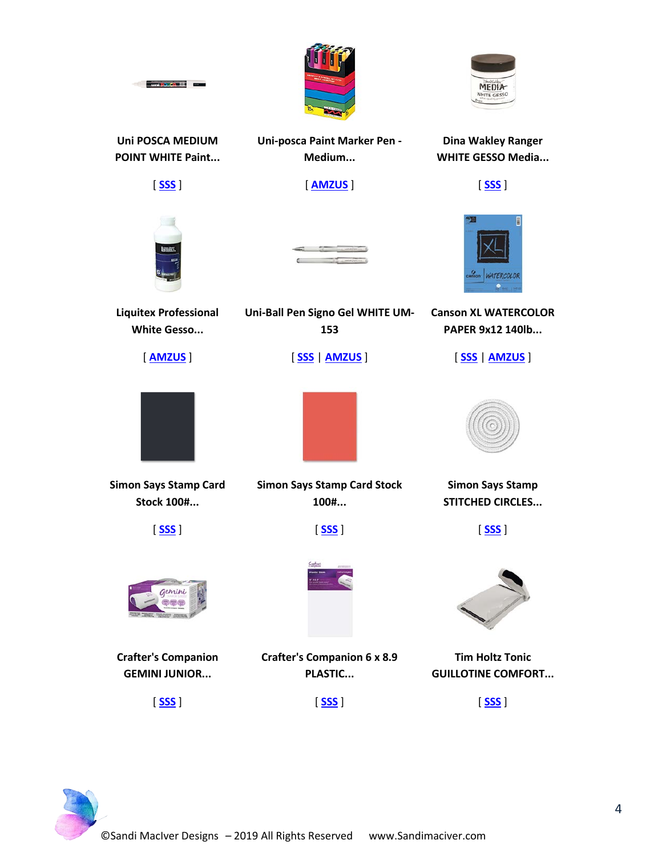



**Uni POSCA MEDIUM POINT WHITE Paint...**

**Contract de Cartes de Contract de Cartes** 

[ **[SSS](https://ldli.co/e/71yg57)** ]

**Uni-posca Paint Marker Pen - Medium...**

[ **[AMZUS](https://www.amazon.com/dp/B001ANVDMU?tag=sandimacive09-20)** ]

**Dina Wakley Ranger WHITE GESSO Media...**

[ **[SSS](https://ldli.co/e/6xe626)** ]

**Canson XL WATERCOLOR PAPER 9x12 140lb...**

[ **[SSS](https://ldli.co/e/0e5d1z)** | **[AMZUS](https://www.amazon.com/dp/B01N047VB6?tag=sandimacive09-20)** ]



**Uni-Ball Pen Signo Gel WHITE UM-153**

[ **[SSS](https://ldli.co/e/g56m14)** | **[AMZUS](https://www.amazon.com/dp/B0011D1Q5I?tag=sandimacive09-20)** ]

**Liquitex Professional White Gesso...**

[ **[AMZUS](https://www.amazon.com/dp/B000KNJF6W?tag=sandimacive09-20)** ]



**Simon Says Stamp Card Stock 100#...**

[ **[SSS](https://ldli.co/e/4me7ok)** ]



**Crafter's Companion GEMINI JUNIOR...**





**Simon Says Stamp Card Stock 100#...**

[ **[SSS](https://ldli.co/e/2me9g6)** ]



**Crafter's Companion 6 x 8.9 PLASTIC...**





**Simon Says Stamp STITCHED CIRCLES...**

[ **[SSS](https://ldli.co/e/5lenpm)** ]

**Tim Holtz Tonic GUILLOTINE COMFORT...**

[ **[SSS](https://ldli.co/e/ep75nl)** ]